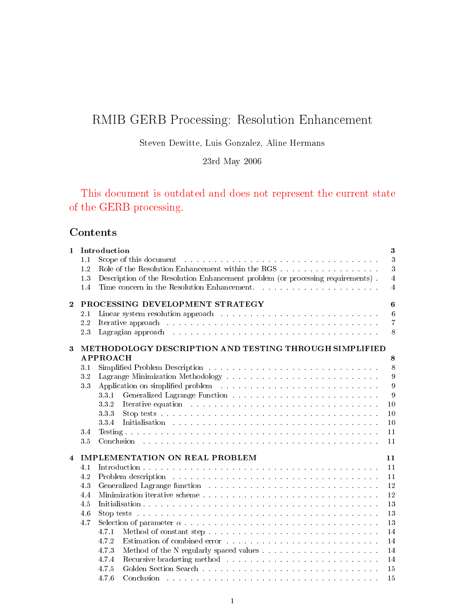# RMIB GERB Processing: Resolution Enhancement

## Steven Dewitte, Luis Gonzalez, Aline Hermans

23rd May 2006

This document is outdated and does not represent the current state of the GERB processing.

## Contents

| $\mathbf{1}$            |     | Introduction                                                                                                                                                                                                                          | $\bf{3}$         |
|-------------------------|-----|---------------------------------------------------------------------------------------------------------------------------------------------------------------------------------------------------------------------------------------|------------------|
|                         | 1.1 | Scope of this document entering the service of the document of the service of the service of the service of the service of the service of the service of the service of the service of the service of the service of the servi        | 3                |
|                         | 1.2 |                                                                                                                                                                                                                                       | $\overline{3}$   |
|                         | 1.3 | Description of the Resolution Enhancement problem (or processing requirements).                                                                                                                                                       | $\overline{4}$   |
|                         | 1.4 | Time concern in the Resolution Enhancement.                                                                                                                                                                                           | $\overline{4}$   |
| $\overline{2}$          |     | PROCESSING DEVELOPMENT STRATEGY                                                                                                                                                                                                       | $\bf{6}$         |
|                         | 2.1 |                                                                                                                                                                                                                                       | $\,6$            |
|                         | 2.2 |                                                                                                                                                                                                                                       | $\overline{7}$   |
|                         | 2.3 |                                                                                                                                                                                                                                       | $8\,$            |
| $\bf{3}$                |     | METHODOLOGY DESCRIPTION AND TESTING THROUGH SIMPLIFIED                                                                                                                                                                                |                  |
|                         |     | APPROACH                                                                                                                                                                                                                              | 8                |
|                         | 3.1 |                                                                                                                                                                                                                                       | $8\phantom{.}$   |
|                         | 3.2 |                                                                                                                                                                                                                                       | $\overline{9}$   |
|                         | 3.3 | Application on simplified problem (1) and a contract of the contract of the contract of the contract of the contract of the contract of the contract of the contract of the contract of the contract of the contract of the co        | $\boldsymbol{9}$ |
|                         |     | 331                                                                                                                                                                                                                                   | 9                |
|                         |     | 332<br>Iterative equation (a) and a contract of the contract of the contract of the contract of the contract of the contract of the contract of the contract of the contract of the contract of the contract of the contract of the c | 10               |
|                         |     | 333                                                                                                                                                                                                                                   | 10               |
|                         |     | 334                                                                                                                                                                                                                                   | 10               |
|                         | 3.4 |                                                                                                                                                                                                                                       | 11               |
|                         | 3.5 |                                                                                                                                                                                                                                       | 11               |
| $\overline{\mathbf{4}}$ |     | <b>IMPLEMENTATION ON REAL PROBLEM</b>                                                                                                                                                                                                 | 11               |
|                         | 4.1 |                                                                                                                                                                                                                                       | 11               |
|                         | 4.2 | Problem description with a subsequently and a subsequently and a subsequently set of the set of the set of the set of the set of the set of the set of the set of the set of the set of the set of the set of the set of the s        | 11               |
|                         | 4.3 | Generalized Lagrange function with the state of the state of the state of the state of the state of the state of the state of the state of the state of the state of the state of the state of the state of the state of the s        | 12               |
|                         | 4.4 |                                                                                                                                                                                                                                       | 12               |
|                         | 4.5 |                                                                                                                                                                                                                                       | 13               |
|                         | 4.6 | Stop tests by a conservative and a conservative and a conservative and a conservative and a conservative and a conservative and a conservative and a conservative and a conservative and a conservative and a conservative and        | 13               |
|                         | 4.7 |                                                                                                                                                                                                                                       | 13               |
|                         |     | 4.7.1                                                                                                                                                                                                                                 | 14               |
|                         |     | 4.7.2                                                                                                                                                                                                                                 | 14               |
|                         |     | 473                                                                                                                                                                                                                                   | 14               |
|                         |     | 4.7.4                                                                                                                                                                                                                                 | 14               |
|                         |     | 4.7.5                                                                                                                                                                                                                                 | 15               |
|                         |     | 476<br>Conclusion                                                                                                                                                                                                                     | 15               |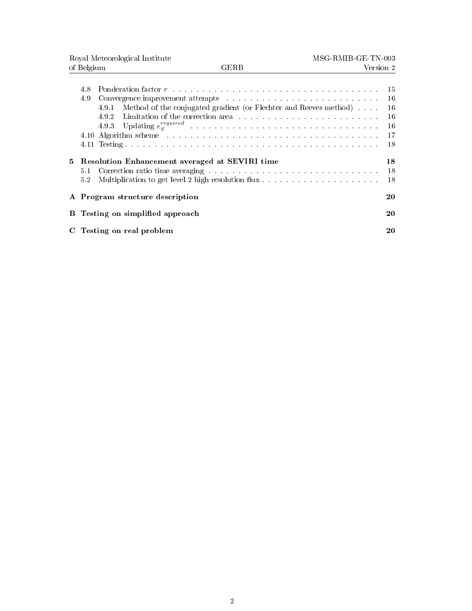|    | Royal Meteorological Institute                                                                                                                                                                                                                                                                                                             | MSG-RMIB-GE-TN-003                     |
|----|--------------------------------------------------------------------------------------------------------------------------------------------------------------------------------------------------------------------------------------------------------------------------------------------------------------------------------------------|----------------------------------------|
|    | of Belgium<br><b>GERB</b>                                                                                                                                                                                                                                                                                                                  | Version 2                              |
|    | 4.8<br>4.9<br>Method of the conjugated gradient (or Flechter and Reeves method)<br>4.9.1<br>4.9.2<br>493<br>4.10 Algorithm scheme contains and all the set of the set of the set of the set of the set of the set of the set of the set of the set of the set of the set of the set of the set of the set of the set of the set of the set | 15<br>16<br>16<br>16<br>16<br>17<br>18 |
| 5  | <b>Resolution Enhancement averaged at SEVIRI time</b><br>5.1<br>5.2                                                                                                                                                                                                                                                                        | 18<br>18<br>18                         |
|    | A Program structure description                                                                                                                                                                                                                                                                                                            | 20                                     |
| В  | Testing on simplified approach                                                                                                                                                                                                                                                                                                             | 20                                     |
| C. | Testing on real problem                                                                                                                                                                                                                                                                                                                    | 20                                     |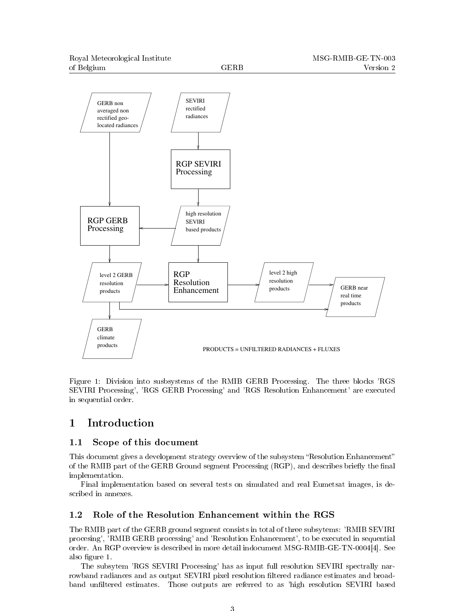

Figure 1: Division into susbsystems of the RMIB GERB Processing. The three blocks 'RGS SEVIRI Processing', 'RGS GERB Processing' and 'RGS Resolution Enhancement' are executed in sequential order.

## 1 Introduction

### 1.1 Scope of this document

This document gives a development strategy overview of the subsystem "Resolution Enhancement" of the RMIB part of the GERB Ground segment Processing (RGP), and describes briefly the final implementation.

Final implementation based on several tests on simulated and real Eumetsat images, is described in annexes.

### 1.2 Role of the Resolution Enhancement within the RGS

The RMIB part of the GERB ground segment consists in total of three subsytems: 'RMIB SEVIRI procesing', 'RMIB GERB processing' and 'Resolution Enhancement', to be executed in sequential order. An RGP overview is described in more detail indocument MSG-RMIB-GE-TN-0004[4]. See also figure 1.

The subsytem 'RGS SEVIRI Processing' has as input full resolution SEVIRI spectrally narrowband radiances and as output SEVIRI pixel resolution ltered radiance estimates and broadband unfiltered estimates. Those outputs are referred to as 'high resolution SEVIRI based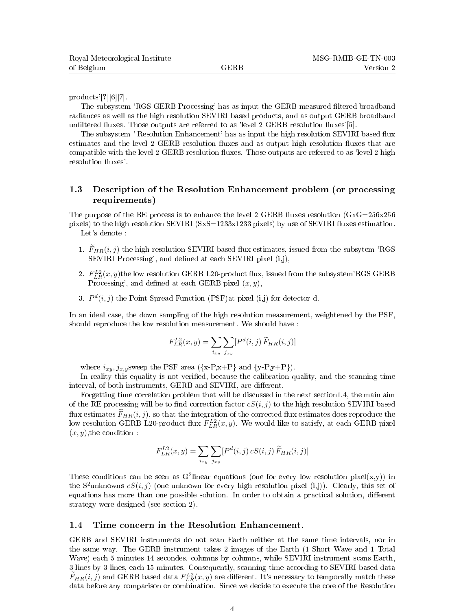products'[?][6][7].

The subsystem 'RGS GERB Processing' has as input the GERB measured filtered broadband radiances as well as the high resolution SEVIRI based products, and as output GERB broadband unfiltered fluxes. Those outputs are referred to as 'level  $2 \text{ GERB}$  resolution fluxes'[5].

The subsystem ' Resolution Enhancement' has as input the high resolution SEVIRI based flux estimates and the level 2 GERB resolution fluxes and as output high resolution fluxes that are compatible with the level  $2$  GERB resolution fluxes. Those outputs are referred to as 'level  $2$  high resolution fluxes'.

### 1.3 Description of the Resolution Enhancement problem (or processing requirements)

The purpose of the RE process is to enhance the level 2 GERB fluxes resolution  $(GxG=256x256$ pixels) to the high resolution SEVIRI (SxS=1233x1233 pixels) by use of SEVIRI fluxes estimation. Let's denote :

- 1.  $\widetilde{F}_{HR}(i, j)$  the high resolution SEVIRI based flux estimates, issued from the subsytem 'RGS SEVIRI Processing', and defined at each SEVIRI pixel (i,j),
- 2.  $F_{LR}^{L2}(x,y)$ the low resolution GERB L20-product flux, issued from the subsystem'RGS GERB Processing', and defined at each GERB pixel  $(x, y)$ ,
- 3.  $P<sup>d</sup>(i, j)$  the Point Spread Function (PSF) at pixel (i,j) for detector d.

In an ideal case, the down sampling of the high resolution measurement, weightened by the PSF, should reproduce the low resolution measurement. We should have :

$$
F_{LR}^{L2}(x,y) = \sum_{i_{xy}} \sum_{j_{xy}} [P^d(i,j) \widetilde{F}_{HR}(i,j)]
$$

where  $i_{xy}, j_{x,y}$  sweep the PSF area  $({x-P,x+P}$  and  ${y-P,y+P}$ ).

In reality this equality is not verified, because the calibration quality, and the scanning time interval, of both instruments, GERB and SEVIRI, are different.

Forgetting time correlation problem that will be discussed in the next section1.4, the main aim of the RE processing will be to find correction factor  $cS(i, j)$  to the high resolution SEVIRI based flux estimates  $\widetilde{F}_{HR}(i, j)$ , so that the integration of the corrected flux estimates does reproduce the low resolution GERB L20-product flux  $F_{LR}^{L2}(x,y)$ . We would like to satisfy, at each GERB pixel  $(x, y)$ , the condition :

$$
F_{LR}^{L2}(x,y) = \sum_{i_{xy}} \sum_{j_{xy}} [P^d(i,j) \, cS(i,j) \, \widetilde{F}_{HR}(i,j)]
$$

These conditions can be seen as G<sup>2</sup>linear equations (one for every low resolution pixel(x,y)) in the S<sup>2</sup>unknowns  $cS(i, j)$  (one unknown for every high resolution pixel (i,j)). Clearly, this set of equations has more than one possible solution. In order to obtain a practical solution, different strategy were designed (see section 2).

#### 1.4 Time concern in the Resolution Enhancement.

GERB and SEVIRI instruments do not scan Earth neither at the same time intervals, nor in the same way. The GERB instrument takes 2 images of the Earth (1 Short Wave and 1 Total Wave) each 5 minutes 14 secondes, columns by columns, while SEVIRI instrument scans Earth, 3 lines by 3 lines, each 15 minutes. Consequently, scanning time according to SEVIRI based data  $F_{HR}(i, j)$  and GERB based data  $F_{LR}^{L2}(x, y)$  are different. It's necessary to temporally match these data before any comparison or combination. Since we decide to execute the core of the Resolution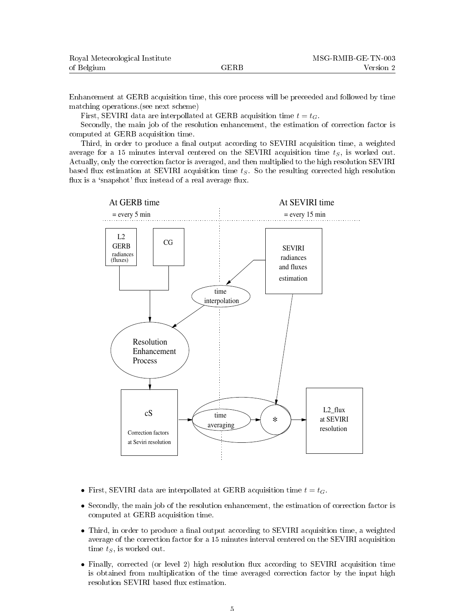| Royal Meteorological Institute |      | MSG-RMIB-GE-TN-003 |
|--------------------------------|------|--------------------|
| of Belgium                     | GERB | Version 2          |

Enhancement at GERB acquisition time, this core process will be preceeded and followed by time matching operations.(see next scheme)

First, SEVIRI data are interpollated at GERB acquisition time  $t = t_G$ .

Secondly, the main job of the resolution enhancement, the estimation of correction factor is computed at GERB acquisition time.

Third, in order to produce a final output according to SEVIRI acquisition time, a weighted average for a 15 minutes interval centered on the SEVIRI acquisition time  $t<sub>S</sub>$ , is worked out. Actually, only the correction factor is averaged, and then multiplied to the high resolution SEVIRI based flux estimation at SEVIRI acquisition time  $t<sub>S</sub>$ . So the resulting corrected high resolution flux is a 'snapshot' flux instead of a real average flux.



- First, SEVIRI data are interpollated at GERB acquisition time  $t = t_G$ .
- Secondly, the main job of the resolution enhancement, the estimation of correction factor is computed at GERB acquisition time.
- Third, in order to produce a final output according to SEVIRI acquisition time, a weighted average of the correction factor for a 15 minutes interval centered on the SEVIRI acquisition time  $t_S$ , is worked out.
- Finally, corrected (or level 2) high resolution flux according to SEVIRI acquisition time is obtained from multiplication of the time averaged correction factor by the input high resolution SEVIRI based flux estimation.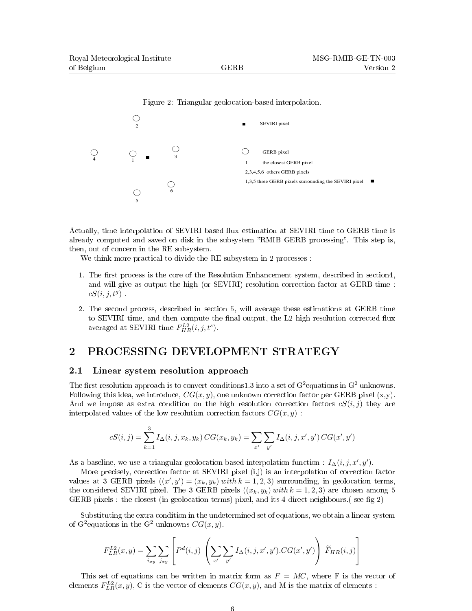

Actually, time interpolation of SEVIRI based flux estimation at SEVIRI time to GERB time is already computed and saved on disk in the subsystem "RMIB GERB processing". This step is, then, out of concern in the RE subsystem.

We think more practical to divide the RE subsystem in 2 processes :

- 1. The first process is the core of the Resolution Enhancement system, described in section4, and will give as output the high (or SEVIRI) resolution correction factor at GERB time :  $cS(i, j, t^g)$ .
- 2. The second process, described in section 5, will average these estimations at GERB time to SEVIRI time, and then compute the final output, the L2 high resolution corrected flux averaged at SEVIRI time  $F_{HR}^{L2}(i, j, t^s)$ .

## 2 PROCESSING DEVELOPMENT STRATEGY

#### 2.1 Linear system resolution approach

The first resolution approach is to convert conditions1.3 into a set of G<sup>2</sup> equations in G<sup>2</sup> unknowns. Following this idea, we introduce,  $CG(x, y)$ , one unknown correction factor per GERB pixel  $(x, y)$ . And we impose as extra condition on the high resolution correction factors  $cS(i, j)$  they are interpolated values of the low resolution correction factors  $CG(x, y)$ :

$$
cS(i,j) = \sum_{k=1}^{3} I_{\Delta}(i,j,x_k,y_k) \, CG(x_k,y_k) = \sum_{x'} \sum_{y'} I_{\Delta}(i,j,x',y') \, CG(x',y')
$$

As a baseline, we use a triangular geolocation-based interpolation function :  $I_{\Delta}(i, j, x', y')$ .

More precisely, correction factor at SEVIRI pixel (i,j) is an interpolation of correction factor values at 3 GERB pixels  $((x', y') = (x_k, y_k) \text{ with } k = 1, 2, 3)$  surrounding, in geolocation terms, the considered SEVIRI pixel. The 3 GERB pixels  $((x_k, y_k) \text{ with } k = 1, 2, 3)$  are chosen among 5 GERB pixels : the closest (in geolocation terms) pixel, and its 4 direct neighbours. (see fig 2)

Substituting the extra condition in the undetermined set of equations, we obtain a linear system of G<sup>2</sup> equations in the G<sup>2</sup> unknowns  $CG(x, y)$ .

$$
F_{LR}^{L2}(x,y) = \sum_{i_{xy}} \sum_{j_{xy}} \left[ P^d(i,j) \left( \sum_{x'} \sum_{y'} I_{\Delta}(i,j,x',y').CG(x',y') \right) \widetilde{F}_{HR}(i,j) \right]
$$

This set of equations can be written in matrix form as  $F = MC$ , where F is the vector of elements  $F_{LR}^{L2}(x,y)$ , C is the vector of elements  $CG(x,y)$ , and M is the matrix of elements :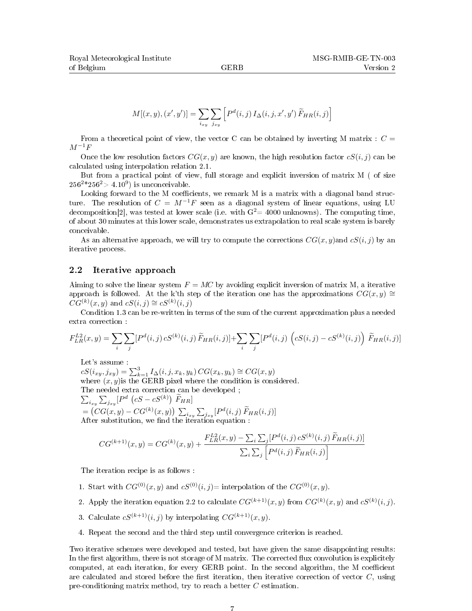$$
M[(x,y),(x',y')] = \sum_{i_{xy}} \sum_{j_{xy}} \left[ P^d(i,j) I_{\Delta}(i,j,x',y') \widetilde{F}_{HR}(i,j) \right]
$$

From a theoretical point of view, the vector C can be obtained by inverting M matrix :  $C =$  $M^{-1}F$ 

Once the low resolution factors  $CG(x, y)$  are known, the high resolution factor  $cS(i, j)$  can be calculated using interpolation relation 2.1.

But from a practical point of view, full storage and explicit inversion of matrix M ( of size  $256^2 * 256^2 > 4.10^9$ ) is unconceivable.

Looking forward to the M coefficients, we remark M is a matrix with a diagonal band structure. The resolution of  $C = M^{-1}F$  seen as a diagonal system of linear equations, using LU decomposition [2], was tested at lower scale (i.e. with  $G<sup>2</sup> = 4000$  unknowns). The computing time, of about 30 minutes at this lower scale, demonstrates us extrapolation to real scale system is barely conceivable.

As an alternative approach, we will try to compute the corrections  $CG(x, y)$  and  $cS(i, j)$  by an iterative process.

#### 2.2 Iterative approach

Aiming to solve the linear system  $F = MC$  by avoiding explicit inversion of matrix M, a iterative approach is followed. At the k'th step of the iteration one has the approximations  $CG(x, y) \cong$  $CG^{(k)}(x, y)$  and  $cS(i, j) \cong cS^{(k)}(i, j)$ 

Condition 1.3 can be re-written in terms of the sum of the current approximation plus a needed extra correction :

$$
F_{LR}^{L2}(x,y) = \sum_{i} \sum_{j} [P^{d}(i,j) \, cS^{(k)}(i,j) \, \widetilde{F}_{HR}(i,j)] + \sum_{i} \sum_{j} [P^{d}(i,j) \, \left( cS(i,j) - cS^{(k)}(i,j) \right) \, \widetilde{F}_{HR}(i,j)]
$$

Let's assume :

 $cS(i_{xy}, j_{xy}) = \sum_{k=1}^{3} I_{\Delta}(i, j, x_k, y_k) CG(x_k, y_k) \cong CG(x, y)$ where  $(x, y)$  is the GERB pixel where the condition is considered. The needed extra correction can be developed ;  $\sum_{i_{xy}} \sum_{j_{xy}} [P^d \left( cS - cS^{(k)} \right) \widetilde{F}_{HR}]$ 

=  $(CG(x, y) - CG^{(k)}(x, y)) \sum_{i_{xy}} \sum_{j_{xy}} [P^d(i, j) \widetilde{F}_{HR}(i, j)]$ <br>After substitution, we find the iteration equation :

$$
CG^{(k+1)}(x,y) = CG^{(k)}(x,y) + \frac{F_{LR}^{L2}(x,y) - \sum_{i} \sum_{j} [P^d(i,j) \, cS^{(k)}(i,j) \, \widetilde{F}_{HR}(i,j)]}{\sum_{i} \sum_{j} [P^d(i,j) \, \widetilde{F}_{HR}(i,j)]}
$$

The iteration recipe is as follows :

- 1. Start with  $CG^{(0)}(x, y)$  and  $cS^{(0)}(i, j)$ = interpolation of the  $CG^{(0)}(x, y)$ .
- 2. Apply the iteration equation 2.2 to calculate  $CG^{(k+1)}(x, y)$  from  $CG^{(k)}(x, y)$  and  $cS^{(k)}(i, j)$ .
- 3. Calculate  $cS^{(k+1)}(i, j)$  by interpolating  $CG^{(k+1)}(x, y)$ .
- 4. Repeat the second and the third step until convergence criterion is reached.

Two iterative schemes were developed and tested, but have given the same disappointing results: In the first algorithm, there is not storage of M matrix. The corrected flux convolution is explicitely computed, at each iteration, for every GERB point. In the second algorithm, the M coefficient are calculated and stored before the first iteration, then iterative correction of vector  $C$ , using pre-conditioning matrix method, try to reach a better C estimation.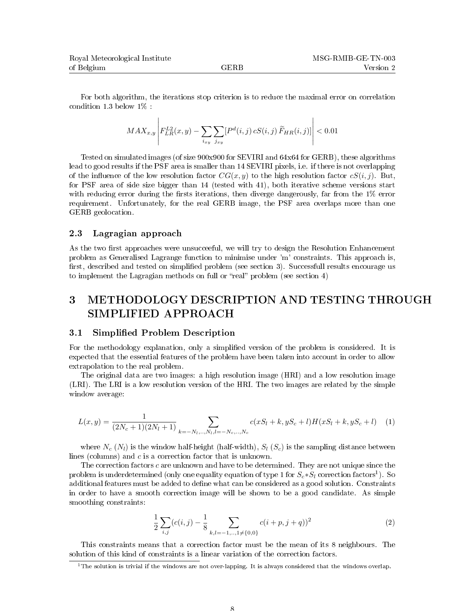| Royal Meteorological Institute |      | MSG-RMIB-GE-TN-003 |  |
|--------------------------------|------|--------------------|--|
| of Belgium                     | GERB | Version 2          |  |

For both algorithm, the iterations stop criterion is to reduce the maximal error on correlation condition 1.3 below 1% :

$$
MAX_{x,y} \left| F_{LR}^{L2}(x,y) - \sum_{i_{xy}} \sum_{j_{xy}} [P^d(i,j) \, cS(i,j) \, \widetilde{F}_{HR}(i,j)] \right| < 0.01
$$

Tested on simulated images (of size 900x900 for SEVIRI and 64x64 for GERB), these algorithms lead to good results if the PSF area is smaller than 14 SEVIRI pixels, i.e. if there is not overlapping of the influence of the low resolution factor  $CG(x, y)$  to the high resolution factor  $cS(i, j)$ . But, for PSF area of side size bigger than 14 (tested with 41), both iterative scheme versions start with reducing error during the firsts iterations, then diverge dangerously, far from the  $1\%$  error requirement. Unfortunately, for the real GERB image, the PSF area overlaps more than one GERB geolocation.

#### 2.3 Lagragian approach

As the two first approaches were unsucceeful, we will try to design the Resolution Enhancement problem as Generalised Lagrange function to minimise under 'm' constraints. This approach is, first, described and tested on simplified problem (see section 3). Successfull results encourage us to implement the Lagragian methods on full or "real" problem (see section  $4$ )

## 3 METHODOLOGY DESCRIPTION AND TESTING THROUGH SIMPLIFIED APPROACH

#### 3.1 Simplied Problem Description

For the methodology explanation, only a simplied version of the problem is considered. It is expected that the essential features of the problem have been taken into account in order to allow extrapolation to the real problem.

The original data are two images: a high resolution image (HRI) and a low resolution image (LRI). The LRI is a low resolution version of the HRI. The two images are related by the simple window average:

$$
L(x,y) = \frac{1}{(2N_c+1)(2N_l+1)} \sum_{k=-N_l,\dots,N_l,l=-N_c,\dots,N_c} c(xS_l+k,yS_c+l)H(xS_l+k,yS_c+l) \tag{1}
$$

where  $N_c$  ( $N_l$ ) is the window half-height (half-width),  $S_l$  ( $S_c$ ) is the sampling distance between lines (columns) and c is a correction factor that is unknown.

The correction factors c are unknown and have to be determined. They are not unique since the problem is underdetermined (only one equality equation of type  $1$  for  $S_c{*}S_l$  correction factors $^1$ ). So additional features must be added to define what can be considered as a good solution. Constraints in order to have a smooth correction image will be shown to be a good candidate. As simple smoothing constraints:

$$
\frac{1}{2} \sum_{i,j} (c(i,j) - \frac{1}{8} \sum_{k,l=-1,\dots,1 \neq \{0,0\}} c(i+p, j+q))^2
$$
 (2)

This constraints means that a correction factor must be the mean of its 8 neighbours. The solution of this kind of constraints is a linear variation of the correction factors.

<sup>&</sup>lt;sup>1</sup>The solution is trivial if the windows are not over-lapping. It is always considered that the windows overlap.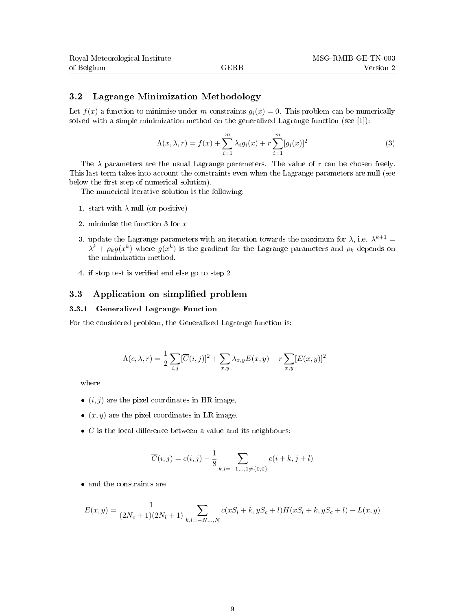#### 3.2 Lagrange Minimization Methodology

Let  $f(x)$  a function to minimise under m constraints  $q_i(x) = 0$ . This problem can be numerically solved with a simple minimization method on the generalized Lagrange function (see [1]):

$$
\Lambda(x,\lambda,r) = f(x) + \sum_{i=1}^{m} \lambda_i g_i(x) + r \sum_{i=1}^{m} [g_i(x)]^2
$$
 (3)

The  $\lambda$  parameters are the usual Lagrange parameters. The value of r can be chosen freely. This last term takes into account the constraints even when the Lagrange parameters are null (see below the first step of numerical solution).

The numerical iterative solution is the following:

- 1. start with  $\lambda$  null (or positive)
- 2. minimise the function 3 for x
- 3. update the Lagrange parameters with an iteration towards the maximum for  $\lambda$ , i.e.  $\lambda^{k+1} =$  $\lambda^k + \rho_k g(x^k)$  where  $g(x^k)$  is the gradient for the Lagrange parameters and  $\rho_k$  depends on the minimization method.
- 4. if stop test is verified end else go to step 2

### 3.3 Application on simplified problem

#### 3.3.1 Generalized Lagrange Function

For the considered problem, the Generalized Lagrange function is:

$$
\Lambda(c, \lambda, r) = \frac{1}{2} \sum_{i,j} [\overline{C}(i,j)]^2 + \sum_{x,y} \lambda_{x,y} E(x,y) + r \sum_{x,y} [E(x,y)]^2
$$

where

- $(i, j)$  are the pixel coordinates in HR image,
- $(x, y)$  are the pixel coordinates in LR image,
- $\overline{C}$  is the local difference between a value and its neighbours:

$$
\overline{C}(i,j) = c(i,j) - \frac{1}{8} \sum_{k,l=-1,..,1 \neq \{0,0\}} c(i+k,j+l)
$$

• and the constraints are

$$
E(x,y) = \frac{1}{(2N_c+1)(2N_l+1)} \sum_{k,l=-N,..,N} c(xS_l+k, yS_c+l)H(xS_l+k, yS_c+l) - L(x,y)
$$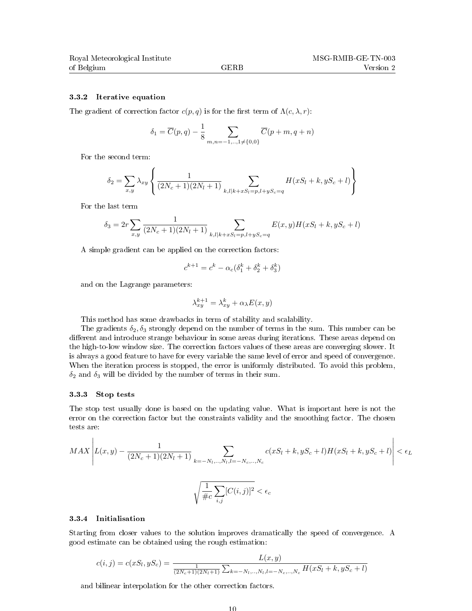#### 3.3.2 Iterative equation

The gradient of correction factor  $c(p, q)$  is for the first term of  $\Lambda(c, \lambda, r)$ :

$$
\delta_1 = \overline{C}(p, q) - \frac{1}{8} \sum_{m,n=-1,..,1 \neq \{0,0\}} \overline{C}(p+m, q+n)
$$

For the second term:

$$
\delta_2 = \sum_{x,y} \lambda_{xy} \left\{ \frac{1}{(2N_c+1)(2N_l+1)} \sum_{k,l|k+xS_l=p,l+yS_c=q} H(xS_l+k, yS_c+l) \right\}
$$

For the last term

$$
\delta_3 = 2r \sum_{x,y} \frac{1}{(2N_c+1)(2N_l+1)} \sum_{k,l|k+xS_l=p,l+yS_c=q} E(x,y)H(xS_l+k,yS_c+l)
$$

A simple gradient can be applied on the correction factors:

$$
c^{k+1} = c^k - \alpha_c(\delta_1^k + \delta_2^k + \delta_3^k)
$$

and on the Lagrange parameters:

$$
\lambda_{xy}^{k+1} = \lambda_{xy}^k + \alpha_\lambda E(x, y)
$$

This method has some drawbacks in term of stability and scalability.

The gradients  $\delta_2, \delta_3$  strongly depend on the number of terms in the sum. This number can be different and introduce strange behaviour in some areas during iterations. These areas depend on the high-to-low window size. The correction factors values of these areas are converging slower. It is always a good feature to have for every variable the same level of error and speed of convergence. When the iteration process is stopped, the error is uniformly distributed. To avoid this problem,  $\delta_2$  and  $\delta_3$  will be divided by the number of terms in their sum.

#### 3.3.3 Stop tests

The stop test usually done is based on the updating value. What is important here is not the error on the correction factor but the constraints validity and the smoothing factor. The chosen tests are:

$$
MAX \left| L(x,y) - \frac{1}{(2N_c+1)(2N_l+1)} \sum_{k=-N_l,..,N_l, l=-N_c,..,N_c} c(xS_l+k, yS_c+l)H(xS_l+k, yS_c+l) \right| < \epsilon_L
$$
  

$$
\sqrt{\frac{1}{\#c} \sum_{i,j} [C(i,j)]^2} < \epsilon_c
$$

#### 3.3.4 Initialisation

Starting from closer values to the solution improves dramatically the speed of convergence. A good estimate can be obtained using the rough estimation:

$$
c(i,j) = c(xS_l, yS_c) = \frac{L(x,y)}{\frac{1}{(2N_c+1)(2N_l+1)}\sum_{k=-N_l,\dots,N_l,l=-N_c,\dots,N_c}H(xS_l+k, yS_c+l)}
$$

and bilinear interpolation for the other correction factors.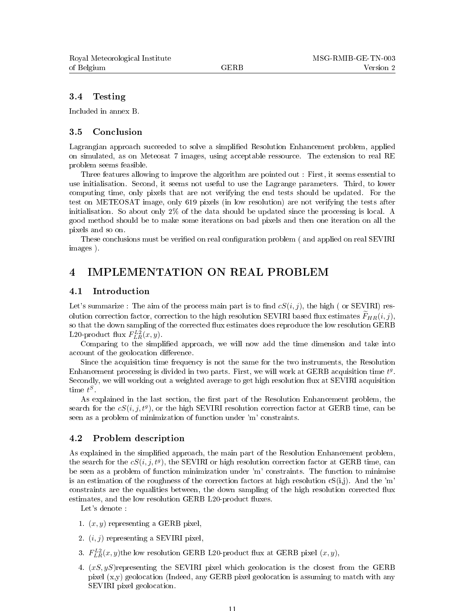#### 3.4 Testing

Included in annex B.

#### 3.5 Conclusion

Lagrangian approach succeeded to solve a simplified Resolution Enhancement problem, applied on simulated, as on Meteosat 7 images, using acceptable ressource. The extension to real RE problem seems feasible.

Three features allowing to improve the algorithm are pointed out : First, it seems essential to use initialisation. Second, it seems not useful to use the Lagrange parameters. Third, to lower computing time, only pixels that are not verifying the end tests should be updated. For the test on METEOSAT image, only 619 pixels (in low resolution) are not verifying the tests after initialisation. So about only 2% of the data should be updated since the processing is local. A good method should be to make some iterations on bad pixels and then one iteration on all the pixels and so on.

These conclusions must be verified on real configuration problem ( and applied on real SEVIRI images ).

## 4 IMPLEMENTATION ON REAL PROBLEM

#### 4.1 Introduction

Let's summarize : The aim of the process main part is to find  $cS(i, j)$ , the high (or SEVIRI) resolution correction factor, correction to the high resolution SEVIRI based flux estimates  $F_{HR}(i, j)$ , so that the down sampling of the corrected flux estimates does reproduce the low resolution GERB L20-product flux  $F_{LR}^{L2}(x, y)$ .

Comparing to the simplied approach, we will now add the time dimension and take into account of the geolocation difference.

Since the acquisition time frequency is not the same for the two instruments, the Resolution Enhancement processing is divided in two parts. First, we will work at GERB acquisition time  $t<sup>g</sup>$ . Secondly, we will working out a weighted average to get high resolution flux at SEVIRI acquisition time  $t^S$ .

As explained in the last section, the first part of the Resolution Enhancement problem, the search for the  $cS(i, j, t^g)$ , or the high SEVIRI resolution correction factor at GERB time, can be seen as a problem of minimization of function under 'm' constraints.

#### 4.2 Problem description

As explained in the simplified approach, the main part of the Resolution Enhancement problem, the search for the  $cS(i, j, t^g)$ , the SEVIRI or high resolution correction factor at GERB time, can be seen as a problem of function minimization under 'm' constraints. The function to minimise is an estimation of the roughness of the correction factors at high resolution  $cS(i,j)$ . And the 'm' constraints are the equalities between, the down sampling of the high resolution corrected ux estimates, and the low resolution GERB L20-product fluxes.

Let's denote :

- 1.  $(x, y)$  representing a GERB pixel,
- 2.  $(i, j)$  representing a SEVIRI pixel,
- 3.  $F_{LR}^{L2}(x, y)$ the low resolution GERB L20-product flux at GERB pixel  $(x, y)$ ,
- 4.  $(xS, yS)$ representing the SEVIRI pixel which geolocation is the closest from the GERB pixel  $(x,y)$  geolocation (Indeed, any GERB pixel geolocation is assuming to match with any SEVIRI pixel geolocation.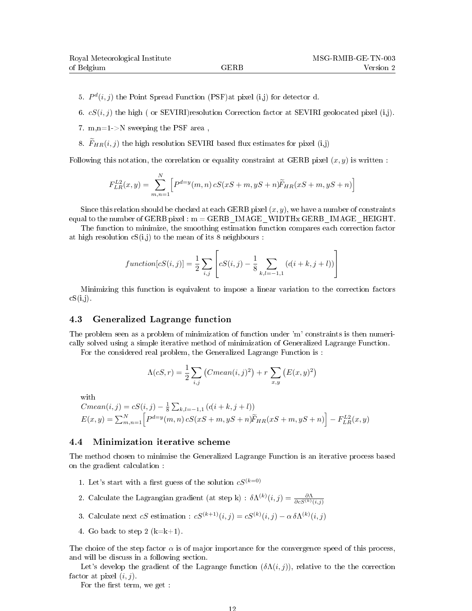- 5.  $P^{d}(i, j)$  the Point Spread Function (PSF) at pixel (i,j) for detector d.
- 6.  $cS(i, j)$  the high ( or SEVIRI)resolution Correction factor at SEVIRI geolocated pixel (i,j).
- 7. m,n=1->N sweeping the PSF area ,
- 8.  $F_{HR}(i, j)$  the high resolution SEVIRI based flux estimates for pixel (i,j)

Following this notation, the correlation or equality constraint at GERB pixel  $(x, y)$  is written :

$$
F_{LR}^{L2}(x,y) = \sum_{m,n=1}^{N} \left[ P^{d=y}(m,n) \, cS(xS+m,yS+n) \widetilde{F}_{HR}(xS+m,yS+n) \right]
$$

Since this relation should be checked at each GERB pixel  $(x, y)$ , we have a number of constraints equal to the number of GERB pixel :  $m = GERB$  IMAGE WIDTHx GERB IMAGE HEIGHT.

The function to minimize, the smoothing estimation function compares each correction factor at high resolution  $cS(i,j)$  to the mean of its 8 neighbours :

$$
function[cS(i,j)] = \frac{1}{2} \sum_{i,j} \left[ cS(i,j) - \frac{1}{8} \sum_{k,l=-1,1} (d(i+k,j+l)) \right]
$$

Minimizing this function is equivalent to impose a linear variation to the correction factors  $cS(i,j)$ .

#### 4.3 Generalized Lagrange function

The problem seen as a problem of minimization of function under 'm' constraints is then numerically solved using a simple iterative method of minimization of Generalized Lagrange Function.

For the considered real problem, the Generalized Lagrange Function is :

$$
\Lambda(cS, r) = \frac{1}{2} \sum_{i,j} (Cmean(i,j)^{2}) + r \sum_{x,y} (E(x,y)^{2})
$$

with

$$
Cmean(i, j) = cS(i, j) - \frac{1}{8} \sum_{k,l=-1,1} (d(i+k, j+l))
$$
  

$$
E(x, y) = \sum_{m,n=1}^{N} \left[ P^{d=y}(m, n) cS(xS + m, yS + n) \widetilde{F}_{HR}(xS + m, yS + n) \right] - F_{LR}^{L2}(x, y)
$$

#### 4.4 Minimization iterative scheme

The method chosen to minimise the Generalized Lagrange Function is an iterative process based on the gradient calculation :

- 1. Let's start with a first guess of the solution  $cS^{(k=0)}$
- 2. Calculate the Lagrangian gradient (at step k) :  $\delta\Lambda^{(k)}(i,j) = \frac{\partial\Lambda}{\partial c S^{(k)}(i,j)}$
- 3. Calculate next  $cS$  estimation :  $cS^{(k+1)}(i,j) = cS^{(k)}(i,j) \alpha \delta \Lambda^{(k)}(i,j)$
- 4. Go back to step 2  $(k=k+1)$ .

The choice of the step factor  $\alpha$  is of major importance for the convergence speed of this process, and will be discuss in a following section.

Let's develop the gradient of the Lagrange function  $(\delta \Lambda(i, j))$ , relative to the the correction factor at pixel  $(i, j)$ .

For the first term, we get :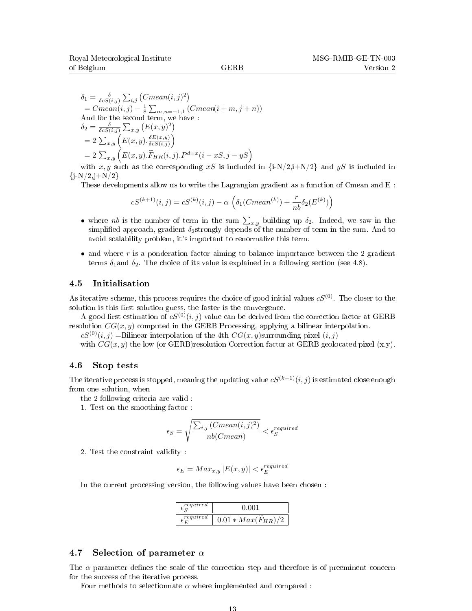$$
\delta_1 = \frac{\delta}{\delta c S(i,j)} \sum_{i,j} (Cmean(i,j)^2)
$$
  
= Cmean(i,j) -  $\frac{1}{8} \sum_{m,n=-1,1} (Cmean(i+m, j+n))$   
And for the second term, we have :  

$$
\delta_2 = \frac{\delta}{\delta c S(i,j)} \sum_{x,y} (E(x,y)^2)
$$
  
=  $2 \sum_{x,y} (E(x,y) \cdot \frac{\delta E(x,y)}{\delta c S(i,j)})$   
=  $2 \sum_{x,y} (E(x,y) \cdot \widetilde{F}_{HR}(i,j).P^{d=x}(i-xS, j-yS))$ 

with x, y such as the corresponding xS is included in  $\{i-N/2,i+N/2\}$  and yS is included in  $\{j-N/2,j+N/2\}$ 

These developments allow us to write the Lagrangian gradient as a function of Cmean and E :

$$
cS^{(k+1)}(i,j) = cS^{(k)}(i,j) - \alpha \left( \delta_1(Cmean^{(k)}) + \frac{r}{nb} \delta_2(E^{(k)}) \right)
$$

- where nb is the number of term in the sum  $\sum_{x,y}$  building up  $\delta_2$ . Indeed, we saw in the simplified approach, gradient  $\delta_2$ strongly depends of the number of term in the sum. And to avoid scalability problem, it's important to renormalize this term.
- and where r is a ponderation factor aiming to balance importance between the 2 gradient terms  $\delta_1$  and  $\delta_2$ . The choice of its value is explained in a following section (see 4.8).

#### 4.5 Initialisation

As iterative scheme, this process requires the choice of good initial values  $cS^{(0)}$ . The closer to the solution is this first solution guess, the faster is the convergence.

A good first estimation of  $cS^{(0)}(i, j)$  value can be derived from the correction factor at GERB resolution  $CG(x, y)$  computed in the GERB Processing, applying a bilinear interpolation.

 $cS^{(0)}(i, j) =$ Bilinear interpolation of the 4th  $CG(x, y)$ surrounding pixel  $(i, j)$ 

with  $CG(x, y)$  the low (or GERB)resolution Correction factor at GERB geolocated pixel  $(x, y)$ .

#### 4.6 Stop tests

The iterative process is stopped, meaning the updating value  $cS^{(k+1)}(i, j)$  is estimated close enough from one solution, when

the 2 following criteria are valid :

1. Test on the smoothing factor :

$$
\epsilon_S = \sqrt{\frac{\sum_{i,j} (Cmean(i,j)^2)}{nb(Cmean)}} < \epsilon_S^{required}
$$

2. Test the constraint validity :

$$
\epsilon_E = Max_{x,y} |E(x,y)| < \epsilon_E^{required}
$$

In the current processing version, the following values have been chosen :

| required | 0.001                  |
|----------|------------------------|
| required | $0.01 * Max(F_{HR})/2$ |

#### 4.7 Selection of parameter  $\alpha$

The  $\alpha$  parameter defines the scale of the correction step and therefore is of preeminent concern for the success of the iterative process.

Four methods to selectionnate  $\alpha$  where implemented and compared :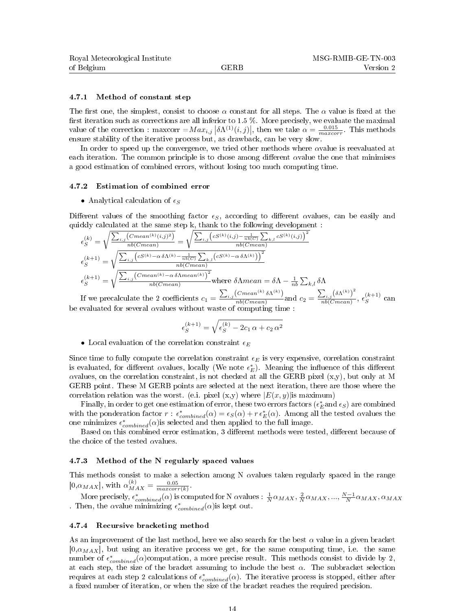#### 4.7.1 Method of constant step

The first one, the simplest, consist to choose  $\alpha$  constant for all steps. The  $\alpha$  value is fixed at the first iteration such as corrections are all inferior to  $1.5\%$ . More precisely, we evaluate the maximal value of the correction : maxcorr  $=Max_{i,j} |\delta\Lambda^{(1)}(i,j)|$ , then we take  $\alpha = \frac{0.015}{maxcorr}$ . This methods ensure stability of the iterative process but, as drawback, can be very slow.

In order to speed up the convergence, we tried other methods where αvalue is reevaluated at each iteration. The common principle is to chose among different  $\alpha$  value the one that minimises a good estimation of combined errors, without losing too much computing time.

#### 4.7.2 Estimation of combined error

#### • Analytical calculation of  $\epsilon_S$

Different values of the smoothing factor  $\epsilon_S$ , according to different avalues, can be easily and quickly calculated at the same step k, thank to the following development :

$$
\epsilon_S^{(k)} = \sqrt{\frac{\sum_{i,j} (Cmean^{(k)}(i,j)^2)}{nb(Cmean)}} = \sqrt{\frac{\sum_{i,j} (cS^{(k)}(i,j) - \frac{1}{nb(C)} \sum_{k,l} cS^{(k)}(i,j))^2}{nb(Cmean)}}{\epsilon_S^{(k+1)}} = \sqrt{\frac{\sum_{i,j} (cS^{(k)} - \alpha \delta \Lambda^{(k)} - \frac{1}{nb(C)} \sum_{k,l} (cS^{(k)} - \alpha \delta \Lambda^{(k)}))^2}{nb(Cmean)}}{\epsilon_S^{(k+1)}}}
$$
\n
$$
\epsilon_S^{(k+1)} = \sqrt{\frac{\sum_{i,j} (Cmean^{(k)} - \alpha \delta \Lambda mean^{(k)})^2}{nb(Cmean)}} \text{where } \delta \Lambda mean = \delta \Lambda - \frac{1}{nb} \sum_{k,l} \delta \Lambda
$$
\n
$$
\sum_{k,l} (Cmean^{(k)} - \alpha \delta \Lambda mean) \sum_{k,l} (Cmean^{(k)} - \alpha \delta \Lambda mean) \sum_{k,l} (Cmean^{(k)} - \alpha \delta \Lambda mean) \sum_{k,l} (Carm^{(k)} - \alpha \delta \Lambda mean) \sum_{k,l} (Carm^{(k)} - \alpha \delta \Lambda m. \sum_{k,l} (Carm^{(k)} - \alpha \delta \Lambda m. \sum_{k,l} (Carm^{(k)} - \alpha \delta \Lambda m. \sum_{k,l} (Carm^{(k)} - \alpha \delta \Lambda m. \sum_{k,l} (Carm^{(k)} - \alpha \delta \Lambda m. \sum_{k,l} (Carm^{(k)} - \alpha \delta \Lambda m. \sum_{k,l} (Carm^{(k)} - \alpha \delta \Lambda m. \sum_{k,l} (Carm^{(k)} - \alpha \delta \Lambda m. \sum_{k,l} (Carm^{(k)} - \alpha \delta \Lambda m. \sum_{k,l} (Carm^{(k)} - \alpha \delta \Lambda m. \sum_{k,l} (Carm^{(k)} - \alpha \delta \Lambda m. \sum_{k,l} (Carm^{(k)} - \alpha \delta \Lambda m. \sum_{k,l} (Carm^{(k)} - \alpha \delta \Lambda m. \sum_{k,l} (Carm^{(k)} - \alpha \delta \Lambda m. \sum_{k,l} (Carm^{(k)} - \alpha \delta \Lambda m. \sum_{k,l} (Carm^{(k)} - \alpha \delta \Lambda m. \sum_{k,l} (Carm^{(k)} - \alpha \delta \Lambda m. \sum_{k,l} (Carm^{(k)} - \alpha \delta \
$$

If we precalculate the 2 coefficients  $c_1 = \frac{\sum_{i,j} (Cmean^{(k)} \delta \Lambda^{(k)})}{nb(Cmean)}$  $\frac{(Cmean^{(k)} \delta \Lambda^{(k)})}{nb(Cmean)}$  and  $c_2 = \frac{\sum_{i,j} (\delta \Lambda^{(k)})^2}{nb(Cmean)}$  $\frac{\sum_{i,j} (\mathfrak{O} \Lambda^{\mathfrak{S}})}{nb (Cmean)}, \epsilon_S^{(k+1)}$  $S^{(\kappa+1)}$  can be evaluated for several  $\alpha$ values without waste of computing time :

$$
\epsilon_S^{(k+1)} = \sqrt{\epsilon_S^{(k)} - 2c_1 \alpha + c_2 \alpha^2}
$$

• Local evaluation of the correlation constraint  $\epsilon_E$ 

Since time to fully compute the correlation constraint  $\epsilon_E$  is very expensive, correlation constraint is evaluated, for different  $\alpha$ values, locally (We note  $\epsilon_E^*$ ). Meaning the influence of this different  $\alpha$ values, on the correlation constraint, is not checked at all the GERB pixel  $(x,y)$ , but only at M GERB point. These M GERB points are selected at the next iteration, there are those where the correlation relation was the worst. (e.i. pixel  $(x,y)$  where  $|E(x, y)|$  is maximum)

Finally, in order to get one estimation of error, these two errors factors  $(\epsilon_E^*$  and  $\epsilon_S)$  are combined with the ponderation factor  $r : \epsilon_{combined}^*(\alpha) = \epsilon_S(\alpha) + r \epsilon_E^*(\alpha)$ . Among all the tested avalues the one minimizes  $\epsilon_{combined}^*(\alpha)$  is selected and then applied to the full image.

Based on this combined error estimation, 3 different methods were tested, different because of the choice of the tested  $\alpha$  values.

#### 4.7.3 Method of the N regularly spaced values

This methods consist to make a selection among N  $\alpha$  values taken regularly spaced in the range  $[0, \alpha_{MAX}]$ , with  $\alpha_{MAX}^{(k)} = \frac{0.05}{maxcorr(k)}$ .

More precisely,  $\epsilon_{combined}^*(\alpha)$  is computed for N  $\alpha$ values :  $\frac{1}{N} \alpha_{MAX}, \frac{2}{N} \alpha_{MAX}, ..., \frac{N-1}{N} \alpha_{MAX}, \alpha_{MAX}$ Then, the  $\alpha$  value minimizing  $\epsilon_{combined}^*(\alpha)$  is kept out.

#### 4.7.4 Recursive bracketing method

As an improvement of the last method, here we also search for the best  $\alpha$  value in a given bracket  $[0,\alpha_{MAX}]$ , but using an iterative process we get, for the same computing time, i.e. the same number of  $\epsilon_{combined}^*(\alpha)$ computation, a more precise result. This methods consist to divide by 2, at each step, the size of the bracket assuming to include the best  $\alpha$ . The subbracket selection requires at each step 2 calculations of  $\epsilon_{combined}^*(\alpha)$ . The iterative process is stopped, either after a fixed number of iteration, or when the size of the bracket reaches the required precision.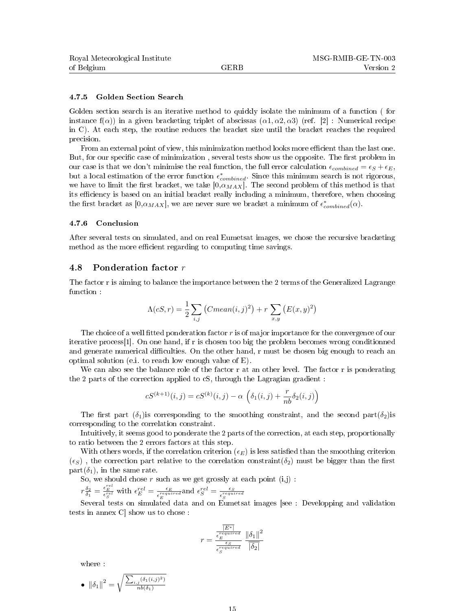#### 4.7.5 Golden Section Search

Golden section search is an iterative method to quickly isolate the minimum of a function ( for instance  $f(\alpha)$ ) in a given bracketing triplet of abscissas  $(\alpha 1, \alpha 2, \alpha 3)$  (ref. [2] : Numerical recipe in C). At each step, the routine reduces the bracket size until the bracket reaches the required precision.

From an external point of view, this minimization method looks more efficient than the last one. But, for our specific case of minimization, several tests show us the opposite. The first problem in our case is that we don't minimise the real function, the full error calculation  $\epsilon_{combined} = \epsilon_S + \epsilon_E$ , but a local estimation of the error function  $\epsilon_{combined}^*$ . Since this minimum search is not rigorous, we have to limit the first bracket, we take  $[0,\alpha_{MAX}]$ . The second problem of this method is that its efficiency is based on an initial bracket really including a minimum, therefore, when choosing the first bracket as  $[0, \alpha_{MAX}]$ , we are never sure we bracket a minimum of  $\epsilon_{combined}^{*}(\alpha)$ .

#### 4.7.6 Conclusion

After several tests on simulated, and on real Eumetsat images, we chose the recursive bracketing method as the more efficient regarding to computing time savings.

### 4.8 Ponderation factor r

The factor r is aiming to balance the importance between the 2 terms of the Generalized Lagrange function :

$$
\Lambda(cS, r) = \frac{1}{2} \sum_{i,j} (Cmean(i,j)^{2}) + r \sum_{x,y} (E(x,y)^{2})
$$

The choice of a well fitted ponderation factor  $r$  is of major importance for the convergence of our iterative process[1]. On one hand, if r is chosen too big the problem becomes wrong conditionned and generate numerical difficulties. On the other hand, r must be chosen big enough to reach an optimal solution (e.i. to reach low enough value of E).

We can also see the balance role of the factor r at an other level. The factor r is ponderating the 2 parts of the correction applied to cS, through the Lagragian gradient :

$$
cS^{(k+1)}(i,j) = cS^{(k)}(i,j) - \alpha \left( \delta_1(i,j) + \frac{r}{nb} \delta_2(i,j) \right)
$$

The first part  $(\delta_1)$  is corresponding to the smoothing constraint, and the second part $(\delta_2)$  is corresponding to the correlation constraint.

Intuitively, it seems good to ponderate the 2 parts of the correction, at each step, proportionally to ratio between the 2 errors factors at this step.

With others words, if the correlation criterion  $(\epsilon_E)$  is less satisfied than the smoothing criterion  $(\epsilon_S)$ , the correction part relative to the correlation constraint( $\delta_2$ ) must be bigger than the first part $(\delta_1)$ , in the same rate.

So, we should chose  $r$  such as we get grossly at each point  $(i,j)$ :

$$
r\frac{\delta_2}{\delta_1} = \frac{\epsilon_E^{rel}}{\epsilon_S^{rel}}
$$
 with  $\epsilon_E^{rel} = \frac{\epsilon_E}{\epsilon_E^{required}}$  and  $\epsilon_S^{rel} = \frac{\epsilon_S}{\epsilon_S^{equired}}$ 

Several tests on simulated data and on Eumetsat images [see : Developping and validation tests in annex C] show us to chose :

$$
r = \frac{\frac{\overline{|E^*|}}{\epsilon_E^{required}}}{\frac{\epsilon_S}{\epsilon_S^{required}} \cdot \frac{\|\delta_1\|^2}{\overline{|\delta_2|}}}
$$

where :

• 
$$
\|\delta_1\|^2 = \sqrt{\frac{\sum_{i,j} (\delta_1(i,j)^2)}{nb(\delta_1)}}
$$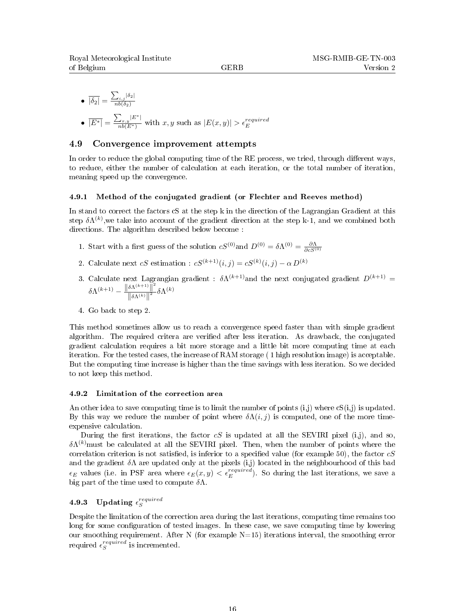\n- \n
$$
\overline{\left|\delta_{2}\right|} = \frac{\sum_{i,j} \left|\delta_{2}\right|}{nb(\delta_{2})}
$$
\n
\n- \n $\overline{\left|E^{*}\right|} = \frac{\sum_{x,y} \left|E^{*}\right|}{nb(E^{*})}$ \n with  $x, y$  such as  $\left|E(x, y)\right| > \epsilon_E^{required}$ \n
\n

#### 4.9 Convergence improvement attempts

In order to reduce the global computing time of the  $RE$  process, we tried, through different ways, to reduce, either the number of calculation at each iteration, or the total number of iteration, meaning speed up the convergence.

#### 4.9.1 Method of the conjugated gradient (or Flechter and Reeves method)

In stand to correct the factors cS at the step k in the direction of the Lagrangian Gradient at this step  $\delta\Lambda^{(k)}$ ,we take into account of the gradient direction at the step k-1, and we combined both directions. The algorithm described below become :

- 1. Start with a first guess of the solution  $cS^{(0)}$  and  $D^{(0)} = \delta \Lambda^{(0)} = \frac{\partial \Lambda}{\partial c S^{(0)}}$
- 2. Calculate next  $cS$  estimation :  $cS^{(k+1)}(i,j) = cS^{(k)}(i,j) \alpha D^{(k)}$
- 3. Calculate next Lagrangian gradient :  $\delta \Lambda^{(k+1)}$  and the next conjugated gradient  $D^{(k+1)} =$  $\delta \Lambda^{(k+1)} - \frac{\|\delta \Lambda^{(k+1)}\|^2}{\|\delta \Lambda^{(k)}\|^2}$  $\frac{\delta \Lambda^{(k)}\, \|}{\left\|\delta \Lambda^{(k)}\right\|^2}\delta \Lambda^{(k)}$
- 4. Go back to step 2.

This method sometimes allow us to reach a convergence speed faster than with simple gradient algorithm. The required critera are verified after less iteration. As drawback, the conjugated gradient calculation requires a bit more storage and a little bit more computing time at each iteration. For the tested cases, the increase of RAM storage ( 1 high resolution image) is acceptable. But the computing time increase is higher than the time savings with less iteration. So we decided to not keep this method.

#### 4.9.2 Limitation of the correction area

An other idea to save computing time is to limit the number of points  $(i,j)$  where  $cS(i,j)$  is updated. By this way we reduce the number of point where  $\delta\Lambda(i, j)$  is computed, one of the more timeexpensive calculation.

During the first iterations, the factor  $cS$  is updated at all the SEVIRI pixel (i,j), and so,  $\delta\Lambda^{(k)}$ must be calculated at all the SEVIRI pixel. Then, when the number of points where the correlation criterion is not satisfied, is inferior to a specified value (for example 50), the factor  $cS$ and the gradient  $\delta\Lambda$  are updated only at the pixels (i,j) located in the neighbourhood of this bad  $\epsilon_E$  values (i.e. in PSF area where  $\epsilon_E(x, y) < \epsilon_E^{required}$ ). So during the last iterations, we save a big part of the time used to compute  $\delta \Lambda$ .

## 4.9.3 Updating  $\epsilon_S^{required}$

Despite the limitation of the correction area during the last iterations, computing time remains too long for some configuration of tested images. In these case, we save computing time by lowering our smoothing requirement. After N (for example  $N=15$ ) iterations interval, the smoothing error required  $\epsilon_S^{required}$  is incremented.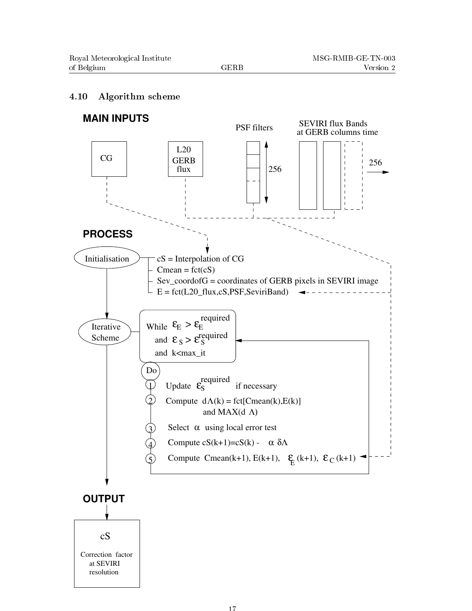### 4.10 Algorithm scheme

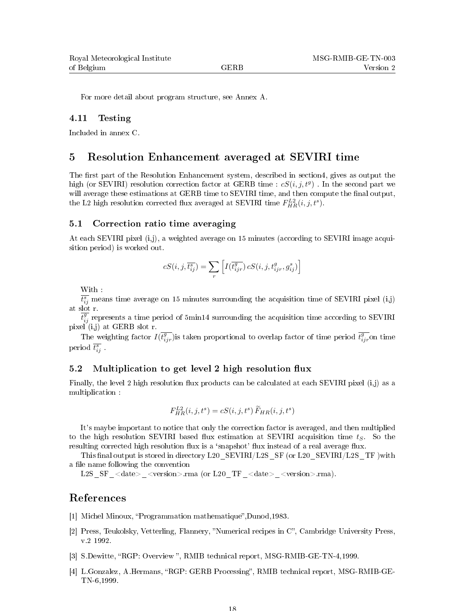For more detail about program structure, see Annex A.

#### 4.11 Testing

Included in annex C.

### 5 Resolution Enhancement averaged at SEVIRI time

The first part of the Resolution Enhancement system, described in section4, gives as output the high (or SEVIRI) resolution correction factor at GERB time :  $cS(i, j, t<sup>g</sup>)$  . In the second part we will average these estimations at GERB time to SEVIRI time, and then compute the final output, the L2 high resolution corrected flux averaged at SEVIRI time  $F_{HR}^{L2}(i,j,t^s)$ .

#### 5.1 Correction ratio time averaging

At each SEVIRI pixel (i,j), a weighted average on 15 minutes (according to SEVIRI image acquisition period) is worked out.

$$
c S(i,j,\overline{t_{ij}^s})=\sum_r \left[I(\overline{t_{ijr}^g})\,c S(i,j,t_{ijr}^g,g_{ij}^s)\right]
$$

With :

 $\overline{t_{ij}^s}$  means time average on 15 minutes surrounding the acquisition time of SEVIRI pixel (i,j) at slot r.

 $\overline{t_{ij}^g}$  represents a time period of 5min14 surrounding the acquisition time according to SEVIRI pixel  $(i,j)$  at GERB slot r.

The weighting factor  $I(\overline{t_{ijr}^g})$  is taken proportional to overlap factor of time period  $\overline{t_{ijr}^g}$  on time period  $\overline{t_{ij}^s}$  .

### 5.2 Multiplication to get level 2 high resolution flux

Finally, the level 2 high resolution flux products can be calculated at each SEVIRI pixel  $(i,j)$  as a multiplication :

$$
F_{HR}^{L2}(i,j,t^s) = cS(i,j,t^s) \widetilde{F}_{HR}(i,j,t^s)
$$

It's maybe important to notice that only the correction factor is averaged, and then multiplied to the high resolution SEVIRI based flux estimation at SEVIRI acquisition time  $t<sub>S</sub>$ . So the resulting corrected high resolution flux is a 'snapshot' flux instead of a real average flux.

This final output is stored in directory L20\_SEVIRI/L2S\_SF (or L20\_SEVIRI/L2S\_TF) with a file name following the convention

L2S SF <date> <version>.rma (or L20 TF <date> <version>.rma).

### References

- [1] Michel Minoux, "Programmation mathematique",Dunod,1983.
- [2] Press, Teukolsky, Vetterling, Flannery, "Numerical recipes in C", Cambridge University Press, v.2 1992.
- [3] S.Dewitte, "RGP: Overview ", RMIB technical report, MSG-RMIB-GE-TN-4,1999.
- [4] L.Gonzalez, A.Hermans, "RGP: GERB Processing", RMIB technical report, MSG-RMIB-GE-TN-6,1999.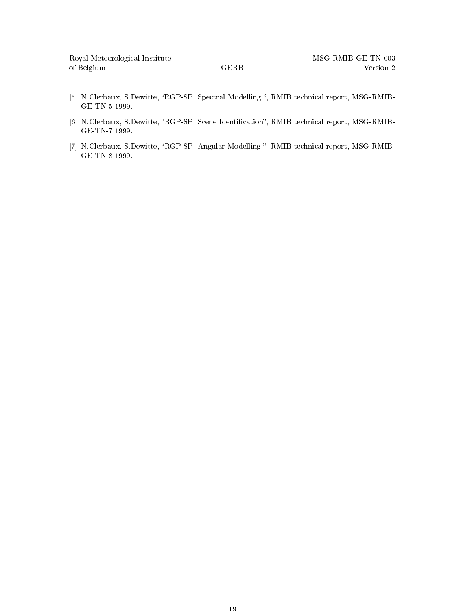- [5] N.Clerbaux, S.Dewitte, "RGP-SP: Spectral Modelling ", RMIB technical report, MSG-RMIB-GE-TN-5,1999.
- [6] N.Clerbaux, S.Dewitte, "RGP-SP: Scene Identification", RMIB technical report, MSG-RMIB-GE-TN-7,1999.
- [7] N.Clerbaux, S.Dewitte, "RGP-SP: Angular Modelling ", RMIB technical report, MSG-RMIB-GE-TN-8,1999.